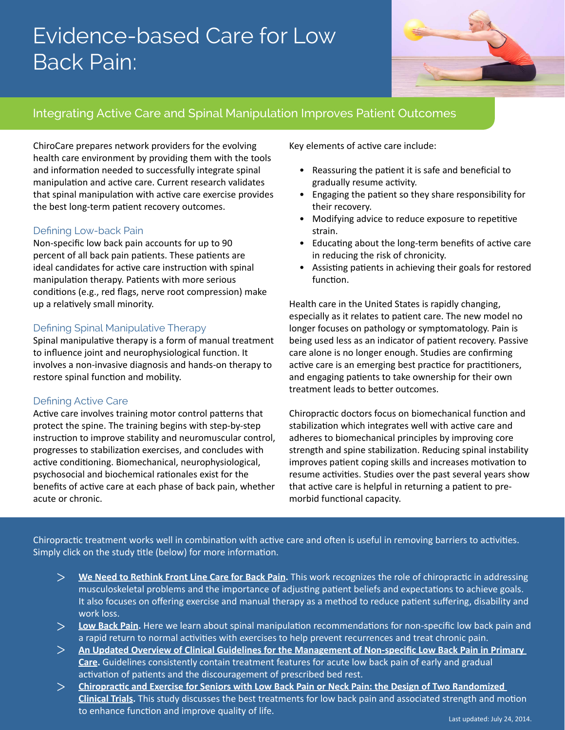# Evidence-based Care for Low Back Pain:



### Integrating Active Care and Spinal Manipulation Improves Patient Outcomes

ChiroCare prepares network providers for the evolving health care environment by providing them with the tools and information needed to successfully integrate spinal manipulation and active care. Current research validates that spinal manipulation with active care exercise provides the best long-term patient recovery outcomes.

#### Defining Low-back Pain

Non-specific low back pain accounts for up to 90 percent of all back pain patients. These patients are ideal candidates for active care instruction with spinal manipulation therapy. Patients with more serious conditions (e.g., red flags, nerve root compression) make up a relatively small minority.

#### Defining Spinal Manipulative Therapy

Spinal manipulative therapy is a form of manual treatment to influence joint and neurophysiological function. It involves a non-invasive diagnosis and hands-on therapy to restore spinal function and mobility.

#### Defining Active Care

Active care involves training motor control patterns that protect the spine. The training begins with step-by-step instruction to improve stability and neuromuscular control, progresses to stabilization exercises, and concludes with active conditioning. Biomechanical, neurophysiological, psychosocial and biochemical rationales exist for the benefits of active care at each phase of back pain, whether acute or chronic.

Key elements of active care include:

- Reassuring the patient it is safe and beneficial to gradually resume activity.
- Engaging the patient so they share responsibility for their recovery.
- Modifying advice to reduce exposure to repetitive strain.
- Educating about the long-term benefits of active care in reducing the risk of chronicity.
- Assisting patients in achieving their goals for restored function.

Health care in the United States is rapidly changing, especially as it relates to patient care. The new model no longer focuses on pathology or symptomatology. Pain is being used less as an indicator of patient recovery. Passive care alone is no longer enough. Studies are confirming active care is an emerging best practice for practitioners, and engaging patients to take ownership for their own treatment leads to better outcomes.

Chiropractic doctors focus on biomechanical function and stabilization which integrates well with active care and adheres to biomechanical principles by improving core strength and spine stabilization. Reducing spinal instability improves patient coping skills and increases motivation to resume activities. Studies over the past several years show that active care is helpful in returning a patient to premorbid functional capacity.

Chiropractic treatment works well in combination with active care and often is useful in removing barriers to activities. Simply click on the study title (below) for more information.

- **[We Need to Rethink Front Line Care for Back Pain.](http://www.bmj.com/content/342/bmj.d3260)** This work recognizes the role of chiropractic in addressing musculoskeletal problems and the importance of adjusting patient beliefs and expectations to achieve goals. It also focuses on offering exercise and manual therapy as a method to reduce patient suffering, disability and work loss.  $>$
- **[Low Back Pain](http://www.nejm.org/doi/full/10.1056/NEJM200102013440508).** Here we learn about spinal manipulation recommendations for non-specific low back pain and a rapid return to normal activities with exercises to help prevent recurrences and treat chronic pain.  $>$
- **[An Updated Overview of Clinical Guidelines for the Management of Non-specific Low Back Pain in Primary](http://www.ncbi.nlm.nih.gov/pubmed/20602122)  [Care.](http://www.ncbi.nlm.nih.gov/pubmed/20602122)** Guidelines consistently contain treatment features for acute low back pain of early and gradual activation of patients and the discouragement of prescribed bed rest.  $>$
- **[Chiropractic and Exercise for Seniors with Low Back Pain or Neck Pain: the Design of Two Randomized](http://www.ncbi.nlm.nih.gov/pubmed/17877825)  [Clinical Trials](http://www.ncbi.nlm.nih.gov/pubmed/17877825).** This study discusses the best treatments for low back pain and associated strength and motion to enhance function and improve quality of life.  $>$